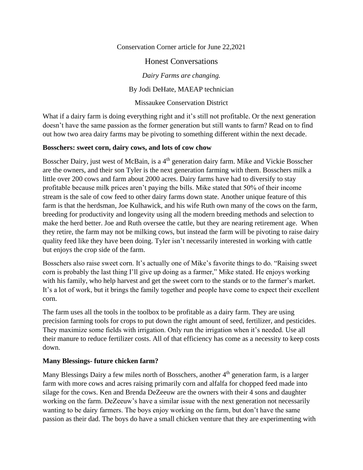Conservation Corner article for June 22,2021

Honest Conversations

*Dairy Farms are changing.*

By Jodi DeHate, MAEAP technician

Missaukee Conservation District

What if a dairy farm is doing everything right and it's still not profitable. Or the next generation doesn't have the same passion as the former generation but still wants to farm? Read on to find out how two area dairy farms may be pivoting to something different within the next decade.

## **Bosschers: sweet corn, dairy cows, and lots of cow chow**

Bosscher Dairy, just west of McBain, is a 4<sup>th</sup> generation dairy farm. Mike and Vickie Bosscher are the owners, and their son Tyler is the next generation farming with them. Bosschers milk a little over 200 cows and farm about 2000 acres. Dairy farms have had to diversify to stay profitable because milk prices aren't paying the bills. Mike stated that 50% of their income stream is the sale of cow feed to other dairy farms down state. Another unique feature of this farm is that the herdsman, Joe Kulhawick, and his wife Ruth own many of the cows on the farm, breeding for productivity and longevity using all the modern breeding methods and selection to make the herd better. Joe and Ruth oversee the cattle, but they are nearing retirement age. When they retire, the farm may not be milking cows, but instead the farm will be pivoting to raise dairy quality feed like they have been doing. Tyler isn't necessarily interested in working with cattle but enjoys the crop side of the farm.

Bosschers also raise sweet corn. It's actually one of Mike's favorite things to do. "Raising sweet corn is probably the last thing I'll give up doing as a farmer," Mike stated. He enjoys working with his family, who help harvest and get the sweet corn to the stands or to the farmer's market. It's a lot of work, but it brings the family together and people have come to expect their excellent corn.

The farm uses all the tools in the toolbox to be profitable as a dairy farm. They are using precision farming tools for crops to put down the right amount of seed, fertilizer, and pesticides. They maximize some fields with irrigation. Only run the irrigation when it's needed. Use all their manure to reduce fertilizer costs. All of that efficiency has come as a necessity to keep costs down.

## **Many Blessings- future chicken farm?**

Many Blessings Dairy a few miles north of Bosschers, another  $4<sup>th</sup>$  generation farm, is a larger farm with more cows and acres raising primarily corn and alfalfa for chopped feed made into silage for the cows. Ken and Brenda DeZeeuw are the owners with their 4 sons and daughter working on the farm. DeZeeuw's have a similar issue with the next generation not necessarily wanting to be dairy farmers. The boys enjoy working on the farm, but don't have the same passion as their dad. The boys do have a small chicken venture that they are experimenting with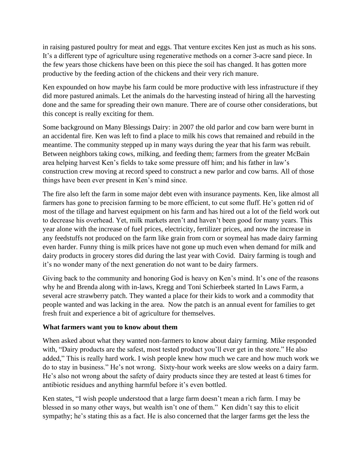in raising pastured poultry for meat and eggs. That venture excites Ken just as much as his sons. It's a different type of agriculture using regenerative methods on a corner 3-acre sand piece. In the few years those chickens have been on this piece the soil has changed. It has gotten more productive by the feeding action of the chickens and their very rich manure.

Ken expounded on how maybe his farm could be more productive with less infrastructure if they did more pastured animals. Let the animals do the harvesting instead of hiring all the harvesting done and the same for spreading their own manure. There are of course other considerations, but this concept is really exciting for them.

Some background on Many Blessings Dairy: in 2007 the old parlor and cow barn were burnt in an accidental fire. Ken was left to find a place to milk his cows that remained and rebuild in the meantime. The community stepped up in many ways during the year that his farm was rebuilt. Between neighbors taking cows, milking, and feeding them; farmers from the greater McBain area helping harvest Ken's fields to take some pressure off him; and his father in law's construction crew moving at record speed to construct a new parlor and cow barns. All of those things have been ever present in Ken's mind since.

The fire also left the farm in some major debt even with insurance payments. Ken, like almost all farmers has gone to precision farming to be more efficient, to cut some fluff. He's gotten rid of most of the tillage and harvest equipment on his farm and has hired out a lot of the field work out to decrease his overhead. Yet, milk markets aren't and haven't been good for many years. This year alone with the increase of fuel prices, electricity, fertilizer prices, and now the increase in any feedstuffs not produced on the farm like grain from corn or soymeal has made dairy farming even harder. Funny thing is milk prices have not gone up much even when demand for milk and dairy products in grocery stores did during the last year with Covid. Dairy farming is tough and it's no wonder many of the next generation do not want to be dairy farmers.

Giving back to the community and honoring God is heavy on Ken's mind. It's one of the reasons why he and Brenda along with in-laws, Kregg and Toni Schierbeek started In Laws Farm, a several acre strawberry patch. They wanted a place for their kids to work and a commodity that people wanted and was lacking in the area. Now the patch is an annual event for families to get fresh fruit and experience a bit of agriculture for themselves.

## **What farmers want you to know about them**

When asked about what they wanted non-farmers to know about dairy farming. Mike responded with, "Dairy products are the safest, most tested product you'll ever get in the store." He also added," This is really hard work. I wish people knew how much we care and how much work we do to stay in business." He's not wrong. Sixty-hour work weeks are slow weeks on a dairy farm. He's also not wrong about the safety of dairy products since they are tested at least 6 times for antibiotic residues and anything harmful before it's even bottled.

Ken states, "I wish people understood that a large farm doesn't mean a rich farm. I may be blessed in so many other ways, but wealth isn't one of them." Ken didn't say this to elicit sympathy; he's stating this as a fact. He is also concerned that the larger farms get the less the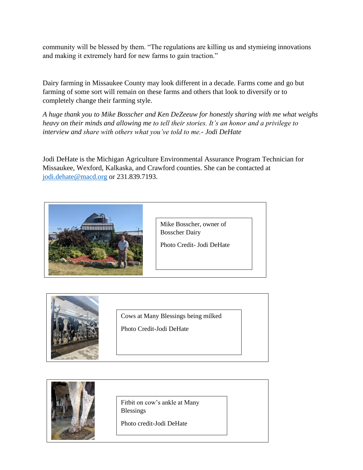community will be blessed by them. "The regulations are killing us and stymieing innovations and making it extremely hard for new farms to gain traction."

Dairy farming in Missaukee County may look different in a decade. Farms come and go but farming of some sort will remain on these farms and others that look to diversify or to completely change their farming style.

*A huge thank you to Mike Bosscher and Ken DeZeeuw for honestly sharing with me what weighs heavy on their minds and allowing me to tell their stories. It's an honor and a privilege to interview and share with others what you've told to me.- Jodi DeHate*

Jodi DeHate is the Michigan Agriculture Environmental Assurance Program Technician for Missaukee, Wexford, Kalkaska, and Crawford counties. She can be contacted at [jodi.dehate@macd.org](mailto:jodi.dehate@macd.org) or 231.839.7193.



Mike Bosscher, owner of Bosscher Dairy

Photo Credit- Jodi DeHate



Cows at Many Blessings being milked

Photo Credit-Jodi DeHate